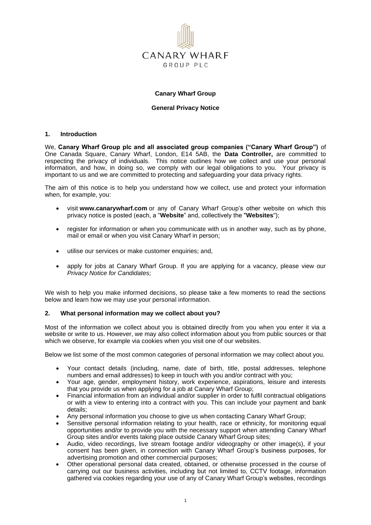

## **Canary Wharf Group**

### **General Privacy Notice**

## **1. Introduction**

We, **Canary Wharf Group plc and all associated group companies ("Canary Wharf Group")** of One Canada Square, Canary Wharf, London, E14 5AB, the **Data Controller,** are committed to respecting the privacy of individuals. This notice outlines how we collect and use your personal information, and how, in doing so, we comply with our legal obligations to you. Your privacy is important to us and we are committed to protecting and safeguarding your data privacy rights.

The aim of this notice is to help you understand how we collect, use and protect your information when, for example, you:

- visit **www.canarywharf.com** or any of Canary Wharf Group's other website on which this privacy notice is posted (each, a "**Website**" and, collectively the "**Websites**");
- register for information or when you communicate with us in another way, such as by phone, mail or email or when you visit Canary Wharf in person;
- utilise our services or make customer enquiries; and,
- apply for jobs at Canary Wharf Group. If you are applying for a vacancy, please view our *Privacy Notice for Candidates;*

We wish to help you make informed decisions, so please take a few moments to read the sections below and learn how we may use your personal information.

#### **2. What personal information may we collect about you?**

Most of the information we collect about you is obtained directly from you when you enter it via a website or write to us. However, we may also collect information about you from public sources or that which we observe, for example via cookies when you visit one of our websites.

Below we list some of the most common categories of personal information we may collect about you.

- Your contact details (including, name, date of birth, title, postal addresses, telephone numbers and email addresses) to keep in touch with you and/or contract with you;
- Your age, gender, employment history, work experience, aspirations, leisure and interests that you provide us when applying for a job at Canary Wharf Group;
- Financial information from an individual and/or supplier in order to fulfil contractual obligations or with a view to entering into a contract with you. This can include your payment and bank details;
- Any personal information you choose to give us when contacting Canary Wharf Group;
- Sensitive personal information relating to your health, race or ethnicity, for monitoring equal opportunities and/or to provide you with the necessary support when attending Canary Wharf Group sites and/or events taking place outside Canary Wharf Group sites;
- Audio, video recordings, live stream footage and/or videography or other image(s), if your consent has been given, in connection with Canary Wharf Group's business purposes, for advertising promotion and other commercial purposes;
- Other operational personal data created, obtained, or otherwise processed in the course of carrying out our business activities, including but not limited to, CCTV footage, information gathered via cookies regarding your use of any of Canary Wharf Group's websites, recordings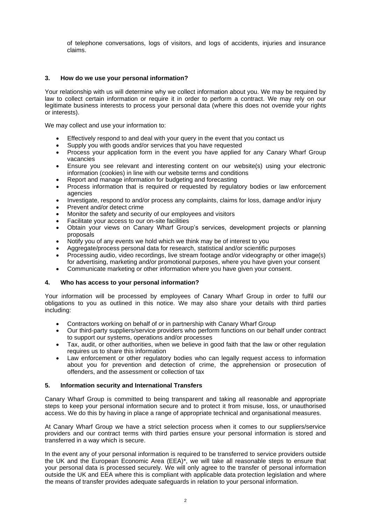of telephone conversations, logs of visitors, and logs of accidents, injuries and insurance claims.

# **3. How do we use your personal information?**

Your relationship with us will determine why we collect information about you. We may be required by law to collect certain information or require it in order to perform a contract. We may rely on our legitimate business interests to process your personal data (where this does not override your rights or interests).

We may collect and use your information to:

- Effectively respond to and deal with your query in the event that you contact us
- Supply you with goods and/or services that you have requested
- Process your application form in the event you have applied for any Canary Wharf Group vacancies
- Ensure you see relevant and interesting content on our website(s) using your electronic information (cookies) in line with our website terms and conditions
- Report and manage information for budgeting and forecasting
- Process information that is required or requested by regulatory bodies or law enforcement agencies
- Investigate, respond to and/or process any complaints, claims for loss, damage and/or injury
- Prevent and/or detect crime
- Monitor the safety and security of our employees and visitors
- Facilitate your access to our on-site facilities
- Obtain your views on Canary Wharf Group's services, development projects or planning proposals
- Notify you of any events we hold which we think may be of interest to you
- Aggregate/process personal data for research, statistical and/or scientific purposes
- Processing audio, video recordings, live stream footage and/or videography or other image(s) for advertising, marketing and/or promotional purposes, where you have given your consent
- Communicate marketing or other information where you have given your consent.

## **4. Who has access to your personal information?**

Your information will be processed by employees of Canary Wharf Group in order to fulfil our obligations to you as outlined in this notice. We may also share your details with third parties including:

- Contractors working on behalf of or in partnership with Canary Wharf Group
- Our third-party suppliers/service providers who perform functions on our behalf under contract to support our systems, operations and/or processes
- Tax, audit, or other authorities, when we believe in good faith that the law or other regulation requires us to share this information
- Law enforcement or other regulatory bodies who can legally request access to information about you for prevention and detection of crime, the apprehension or prosecution of offenders, and the assessment or collection of tax

# **5. Information security and International Transfers**

Canary Wharf Group is committed to being transparent and taking all reasonable and appropriate steps to keep your personal information secure and to protect it from misuse, loss, or unauthorised access. We do this by having in place a range of appropriate technical and organisational measures.

At Canary Wharf Group we have a strict selection process when it comes to our suppliers/service providers and our contract terms with third parties ensure your personal information is stored and transferred in a way which is secure.

In the event any of your personal information is required to be transferred to service providers outside the UK and the European Economic Area (EEA)\*, we will take all reasonable steps to ensure that your personal data is processed securely. We will only agree to the transfer of personal information outside the UK and EEA where this is compliant with applicable data protection legislation and where the means of transfer provides adequate safeguards in relation to your personal information.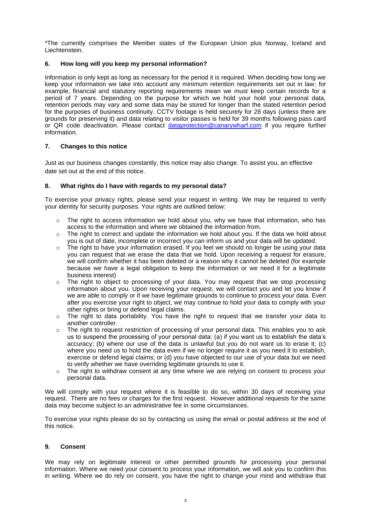\*The currently comprises the Member states of the European Union plus Norway, Iceland and Liechtenstein.

# **6. How long will you keep my personal information?**

Information is only kept as long as necessary for the period it is required. When deciding how long we keep your information we take into account any minimum retention requirements set out in law; for example, financial and statutory reporting requirements mean we must keep certain records for a period of 7 years. Depending on the purpose for which we hold your hold your personal data, retention periods may vary and some data may be stored for longer than the stated retention period for the purposes of business continuity. CCTV footage is held securely for 28 days (unless there are grounds for preserving it) and data relating to visitor passes is held for 39 months following pass card or QR code deactivation. Please contact [dataprotection@canarywharf.com](mailto:dataprotection@canarywharf.com) if you require further information.

# **7. Changes to this notice**

Just as our business changes constantly, this notice may also change. To assist you, an effective date set out at the end of this notice.

# **8. What rights do I have with regards to my personal data?**

To exercise your privacy rights, please send your request in writing. We may be required to verify your identity for security purposes. Your rights are outlined below:

- $\circ$  The right to access information we hold about you, why we have that information, who has access to the information and where we obtained the information from.
- $\circ$  The right to correct and update the information we hold about you. If the data we hold about you is out of date, incomplete or incorrect you can inform us and your data will be updated.
- $\circ$  The right to have your information erased. If you feel we should no longer be using your data you can request that we erase the data that we hold. Upon receiving a request for erasure, we will confirm whether it has been deleted or a reason why it cannot be deleted (for example because we have a legal obligation to keep the information or we need it for a legitimate business interest)
- $\circ$  The right to object to processing of your data. You may request that we stop processing information about you. Upon receiving your request, we will contact you and let you know if we are able to comply or if we have legitimate grounds to continue to process your data. Even after you exercise your right to object, we may continue to hold your data to comply with your other rights or bring or defend legal claims.
- $\circ$  The right to data portability. You have the right to request that we transfer your data to another controller.
- o The right to request restriction of processing of your personal data. This enables you to ask us to suspend the processing of your personal data: (a) if you want us to establish the data's accuracy; (b) where our use of the data is unlawful but you do not want us to erase it; (c) where you need us to hold the data even if we no longer require it as you need it to establish, exercise or defend legal claims; or (d) you have objected to our use of your data but we need to verify whether we have overriding legitimate grounds to use it.
- $\circ$  The right to withdraw consent at any time where we are relying on consent to process your personal data.

We will comply with your request where it is feasible to do so, within 30 days of receiving your request. There are no fees or charges for the first request. However additional requests for the same data may become subject to an administrative fee in some circumstances.

To exercise your rights please do so by contacting us using the email or postal address at the end of this notice.

# **9. Consent**

We may rely on legitimate interest or other permitted grounds for processing your personal information. Where we need your consent to process your information, we will ask you to confirm this in writing. Where we do rely on consent, you have the right to change your mind and withdraw that